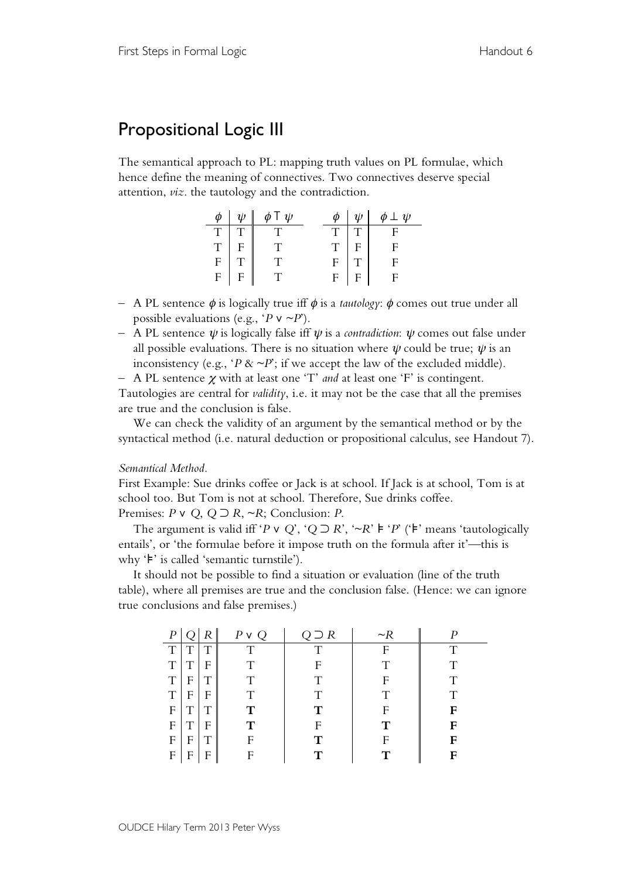## Propositional Logic III

The semantical approach to PL: mapping truth values on PL formulae, which hence define the meaning of connectives. Two connectives deserve special attention, *viz*. the tautology and the contradiction.

| $\phi$         | $\psi$         | φΤ $ψ$ | $\phi$      | $\psi$ | $\phi \perp \psi$ |
|----------------|----------------|--------|-------------|--------|-------------------|
| $\mathbf T$    |                |        | $\mathbf T$ |        |                   |
| $\overline{T}$ | $\overline{F}$ |        | T           |        | Ė                 |
| $\overline{F}$ | $\overline{T}$ |        | F           |        |                   |
| F              | F              |        | F           |        |                   |

- A PL sentence φ is logically true iff φ is a *tautology*: φ comes out true under all possible evaluations (e.g., ' $P \vee \neg P$ ').
- A PL sentence ψ is logically false iff ψ is a *contradiction*: ψ comes out false under all possible evaluations. There is no situation where  $\psi$  could be true;  $\psi$  is an inconsistency (e.g., ' $P \& \sim P$ '; if we accept the law of the excluded middle).
- A PL sentence <sup>χ</sup> with at least one 'T' *and* at least one 'F' is contingent.

Tautologies are central for *validity*, i.e. it may not be the case that all the premises are true and the conclusion is false.

We can check the validity of an argument by the semantical method or by the syntactical method (i.e. natural deduction or propositional calculus, see Handout 7).

## *Semantical Method*.

First Example: Sue drinks coffee or Jack is at school. If Jack is at school, Tom is at school too. But Tom is not at school. Therefore, Sue drinks coffee.

Premises: *P* ∨ *Q*, *Q* ⊃ *R*, ~*R*; Conclusion: *P*.

The argument is valid iff '*P* v *Q*', '*Q* ⊃ *R*', '~*R*' **⊧** '*P*' ('**⊧**' means 'tautologically entails', or 'the formulae before it impose truth on the formula after it'—this is why '⊧' is called 'semantic turnstile').

It should not be possible to find a situation or evaluation (line of the truth table), where all premises are true and the conclusion false. (Hence: we can ignore true conclusions and false premises.)

|   |   |   | $P \vee Q$ | $Q \supseteq R$ | $\sim$ R |   |
|---|---|---|------------|-----------------|----------|---|
| T | T | T | T          |                 |          |   |
| T | T | F |            | F               |          |   |
| T | F | Т | Τ          | Τ               | F        | Τ |
| T | F | F | Τ          | Τ               | Ͳ        | Τ |
| F | T | Τ | т          | т               | F        | F |
| F |   | F | т          | F               | т        | F |
| F | F |   | F          |                 | F        | F |
| F | F | F | F          |                 |          | F |